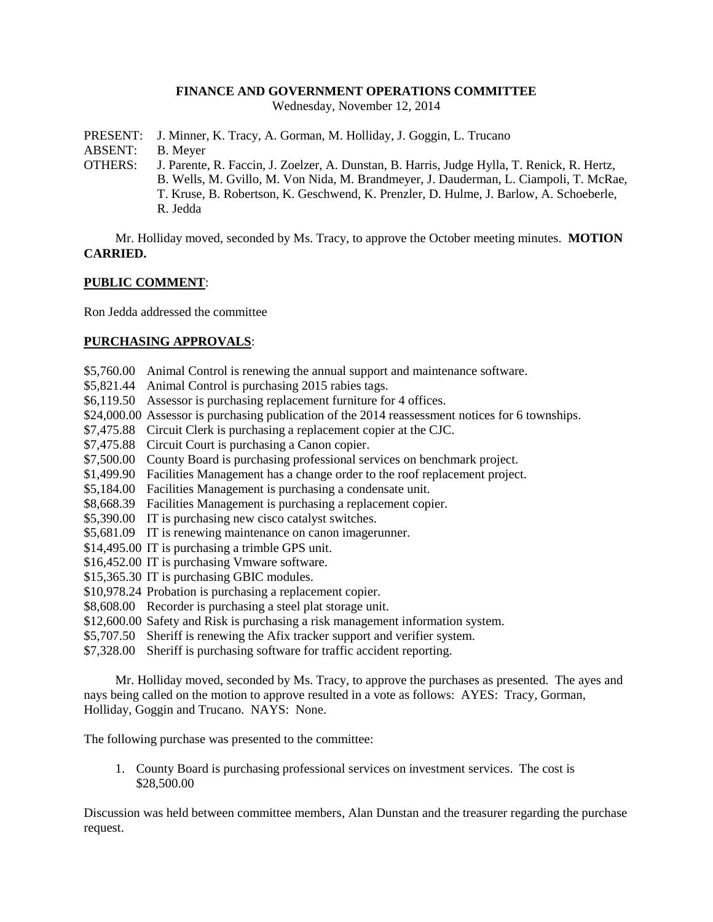### **FINANCE AND GOVERNMENT OPERATIONS COMMITTEE**

Wednesday, November 12, 2014

- PRESENT: J. Minner, K. Tracy, A. Gorman, M. Holliday, J. Goggin, L. Trucano
- ABSENT: B. Meyer
- OTHERS: J. Parente, R. Faccin, J. Zoelzer, A. Dunstan, B. Harris, Judge Hylla, T. Renick, R. Hertz, B. Wells, M. Gvillo, M. Von Nida, M. Brandmeyer, J. Dauderman, L. Ciampoli, T. McRae, T. Kruse, B. Robertson, K. Geschwend, K. Prenzler, D. Hulme, J. Barlow, A. Schoeberle, R. Jedda

Mr. Holliday moved, seconded by Ms. Tracy, to approve the October meeting minutes. **MOTION CARRIED.**

#### **PUBLIC COMMENT**:

Ron Jedda addressed the committee

#### **PURCHASING APPROVALS**:

- \$5,760.00 Animal Control is renewing the annual support and maintenance software.
- \$5,821.44 Animal Control is purchasing 2015 rabies tags.
- \$6,119.50 Assessor is purchasing replacement furniture for 4 offices.
- \$24,000.00 Assessor is purchasing publication of the 2014 reassessment notices for 6 townships.
- \$7,475.88 Circuit Clerk is purchasing a replacement copier at the CJC.
- \$7,475.88 Circuit Court is purchasing a Canon copier.
- \$7,500.00 County Board is purchasing professional services on benchmark project.
- \$1,499.90 Facilities Management has a change order to the roof replacement project.
- \$5,184.00 Facilities Management is purchasing a condensate unit.
- \$8,668.39 Facilities Management is purchasing a replacement copier.
- \$5,390.00 IT is purchasing new cisco catalyst switches.
- \$5,681.09 IT is renewing maintenance on canon imagerunner.
- \$14,495.00 IT is purchasing a trimble GPS unit.
- \$16,452.00 IT is purchasing Vmware software.
- \$15,365.30 IT is purchasing GBIC modules.
- \$10,978.24 Probation is purchasing a replacement copier.
- \$8,608.00 Recorder is purchasing a steel plat storage unit.
- \$12,600.00 Safety and Risk is purchasing a risk management information system.
- \$5,707.50 Sheriff is renewing the Afix tracker support and verifier system.
- \$7,328.00 Sheriff is purchasing software for traffic accident reporting.

Mr. Holliday moved, seconded by Ms. Tracy, to approve the purchases as presented. The ayes and nays being called on the motion to approve resulted in a vote as follows: AYES: Tracy, Gorman, Holliday, Goggin and Trucano. NAYS: None.

The following purchase was presented to the committee:

1. County Board is purchasing professional services on investment services. The cost is \$28,500.00

Discussion was held between committee members, Alan Dunstan and the treasurer regarding the purchase request.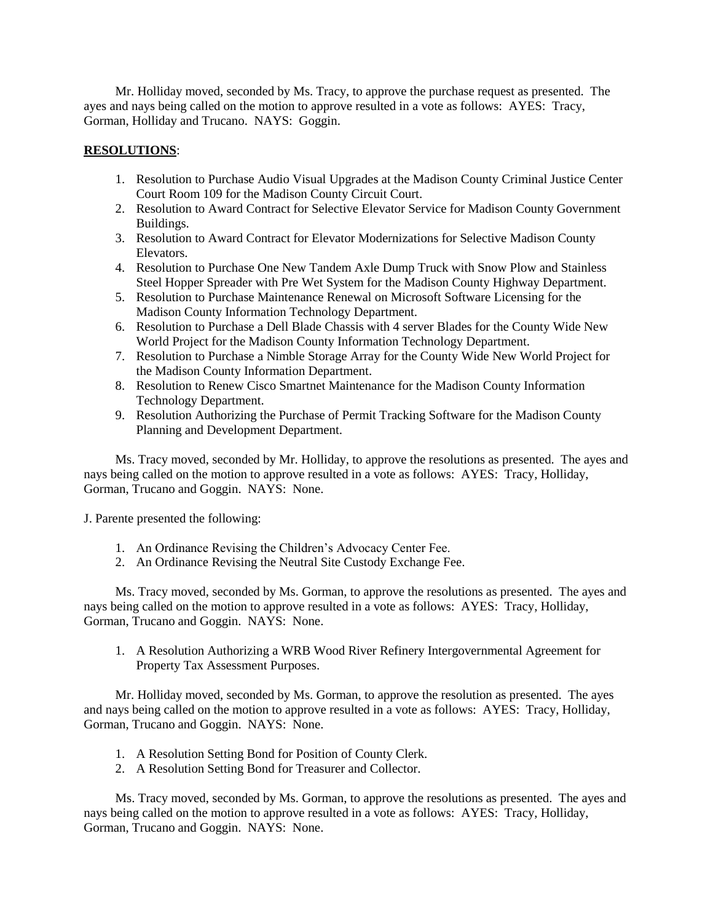Mr. Holliday moved, seconded by Ms. Tracy, to approve the purchase request as presented. The ayes and nays being called on the motion to approve resulted in a vote as follows: AYES: Tracy, Gorman, Holliday and Trucano. NAYS: Goggin.

# **RESOLUTIONS**:

- 1. Resolution to Purchase Audio Visual Upgrades at the Madison County Criminal Justice Center Court Room 109 for the Madison County Circuit Court.
- 2. Resolution to Award Contract for Selective Elevator Service for Madison County Government Buildings.
- 3. Resolution to Award Contract for Elevator Modernizations for Selective Madison County Elevators.
- 4. Resolution to Purchase One New Tandem Axle Dump Truck with Snow Plow and Stainless Steel Hopper Spreader with Pre Wet System for the Madison County Highway Department.
- 5. Resolution to Purchase Maintenance Renewal on Microsoft Software Licensing for the Madison County Information Technology Department.
- 6. Resolution to Purchase a Dell Blade Chassis with 4 server Blades for the County Wide New World Project for the Madison County Information Technology Department.
- 7. Resolution to Purchase a Nimble Storage Array for the County Wide New World Project for the Madison County Information Department.
- 8. Resolution to Renew Cisco Smartnet Maintenance for the Madison County Information Technology Department.
- 9. Resolution Authorizing the Purchase of Permit Tracking Software for the Madison County Planning and Development Department.

Ms. Tracy moved, seconded by Mr. Holliday, to approve the resolutions as presented. The ayes and nays being called on the motion to approve resulted in a vote as follows: AYES: Tracy, Holliday, Gorman, Trucano and Goggin. NAYS: None.

J. Parente presented the following:

- 1. An Ordinance Revising the Children's Advocacy Center Fee.
- 2. An Ordinance Revising the Neutral Site Custody Exchange Fee.

Ms. Tracy moved, seconded by Ms. Gorman, to approve the resolutions as presented. The ayes and nays being called on the motion to approve resulted in a vote as follows: AYES: Tracy, Holliday, Gorman, Trucano and Goggin. NAYS: None.

1. A Resolution Authorizing a WRB Wood River Refinery Intergovernmental Agreement for Property Tax Assessment Purposes.

Mr. Holliday moved, seconded by Ms. Gorman, to approve the resolution as presented. The ayes and nays being called on the motion to approve resulted in a vote as follows: AYES: Tracy, Holliday, Gorman, Trucano and Goggin. NAYS: None.

- 1. A Resolution Setting Bond for Position of County Clerk.
- 2. A Resolution Setting Bond for Treasurer and Collector.

Ms. Tracy moved, seconded by Ms. Gorman, to approve the resolutions as presented. The ayes and nays being called on the motion to approve resulted in a vote as follows: AYES: Tracy, Holliday, Gorman, Trucano and Goggin. NAYS: None.